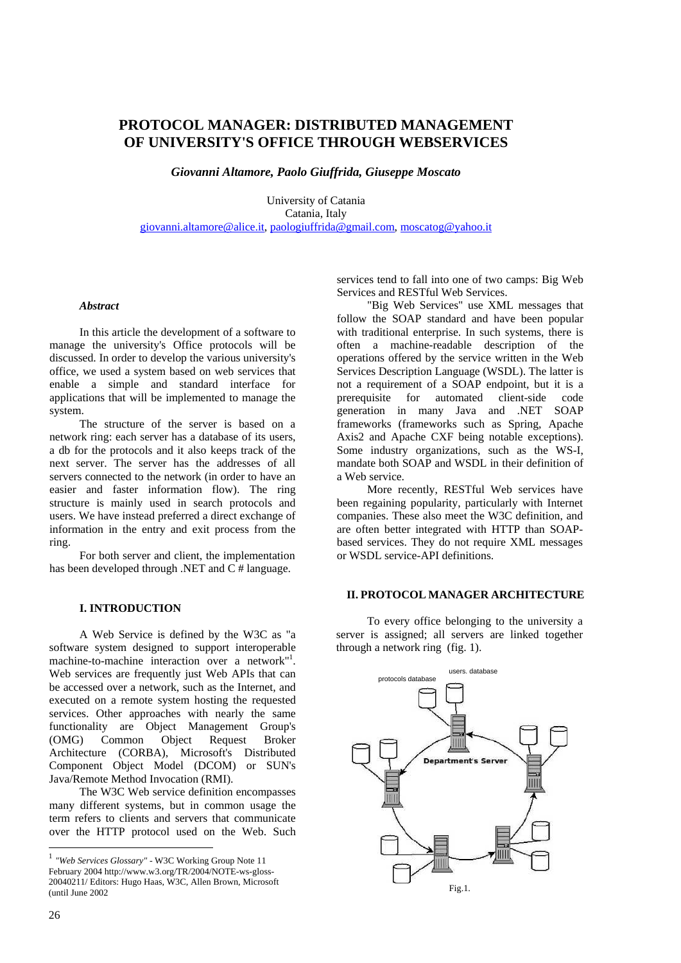# **PROTOCOL MANAGER: DISTRIBUTED MANAGEMENT OF UNIVERSITY'S OFFICE THROUGH WEBSERVICES**

*Giovanni Altamore, Paolo Giuffrida, Giuseppe Moscato* 

University of Catania Catania, Italy giovanni.altamore@alice.it, paologiuffrida@gmail.com, moscatog@yahoo.it

### *Abstract*

In this article the development of a software to manage the university's Office protocols will be discussed. In order to develop the various university's office, we used a system based on web services that enable a simple and standard interface for applications that will be implemented to manage the system.

The structure of the server is based on a network ring: each server has a database of its users, a db for the protocols and it also keeps track of the next server. The server has the addresses of all servers connected to the network (in order to have an easier and faster information flow). The ring structure is mainly used in search protocols and users. We have instead preferred a direct exchange of information in the entry and exit process from the ring.

For both server and client, the implementation has been developed through .NET and C # language.

### **I. INTRODUCTION**

A Web Service is defined by the W3C as "a software system designed to support interoperable machine-to-machine interaction over a network"<sup>1</sup>. Web services are frequently just Web APIs that can be accessed over a network, such as the Internet, and executed on a remote system hosting the requested services. Other approaches with nearly the same functionality are Object Management Group's (OMG) Common Object Request Broker Architecture (CORBA), Microsoft's Distributed Component Object Model (DCOM) or SUN's Java/Remote Method Invocation (RMI).

The W3C Web service definition encompasses many different systems, but in common usage the term refers to clients and servers that communicate over the HTTP protocol used on the Web. Such

<sup>1</sup> *"Web Services Glossary"* - W3C Working Group Note 11 February 2004 http://www.w3.org/TR/2004/NOTE-ws-gloss-20040211/ Editors: Hugo Haas, W3C, Allen Brown, Microsoft (until June 2002

services tend to fall into one of two camps: Big Web Services and RESTful Web Services.

"Big Web Services" use XML messages that follow the SOAP standard and have been popular with traditional enterprise. In such systems, there is often a machine-readable description of the operations offered by the service written in the Web Services Description Language (WSDL). The latter is not a requirement of a SOAP endpoint, but it is a prerequisite for automated client-side code generation in many Java and .NET SOAP frameworks (frameworks such as Spring, Apache Axis2 and Apache CXF being notable exceptions). Some industry organizations, such as the WS-I, mandate both SOAP and WSDL in their definition of a Web service.

More recently, RESTful Web services have been regaining popularity, particularly with Internet companies. These also meet the W3C definition, and are often better integrated with HTTP than SOAPbased services. They do not require XML messages or WSDL service-API definitions.

### **II. PROTOCOL MANAGER ARCHITECTURE**

To every office belonging to the university a server is assigned; all servers are linked together through a network ring (fig. 1).



l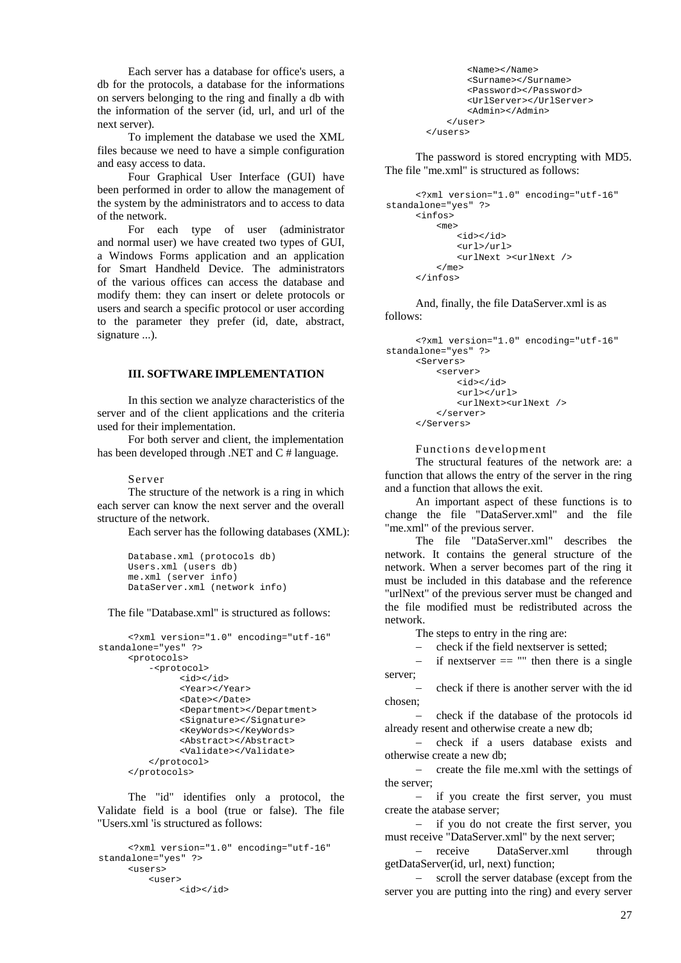Each server has a database for office's users, a db for the protocols, a database for the informations on servers belonging to the ring and finally a db with the information of the server (id, url, and url of the next server).

To implement the database we used the XML files because we need to have a simple configuration and easy access to data.

Four Graphical User Interface (GUI) have been performed in order to allow the management of the system by the administrators and to access to data of the network.

For each type of user (administrator and normal user) we have created two types of GUI, a Windows Forms application and an application for Smart Handheld Device. The administrators of the various offices can access the database and modify them: they can insert or delete protocols or users and search a specific protocol or user according to the parameter they prefer (id, date, abstract, signature ...).

## **III. SOFTWARE IMPLEMENTATION**

In this section we analyze characteristics of the server and of the client applications and the criteria used for their implementation.

For both server and client, the implementation has been developed through .NET and C # language.

#### Server

The structure of the network is a ring in which each server can know the next server and the overall structure of the network.

Each server has the following databases (XML):

```
Database.xml (protocols db) 
Users.xml (users db) 
me.xml (server info) 
DataServer.xml (network info)
```
The file "Database.xml" is structured as follows:

```
<?xml version="1.0" encoding="utf-16" 
standalone="yes" ?> 
     <protocols>
         -<protocol>
               <id></id> 
               <Year></Year> 
                <Date></Date> 
               <Department></Department> 
               <Signature></Signature> 
               <KeyWords></KeyWords> 
               <Abstract></Abstract> 
               <Validate></Validate> 
         </protocol> 
     </protocols>
```
The "id" identifies only a protocol, the Validate field is a bool (true or false). The file "Users.xml 'is structured as follows:

```
<?xml version="1.0" encoding="utf-16" 
standalone="yes" ?> 
     <users>
         <user>
               <id></id>
```

```
<Name></Name> 
        <Surname></Surname> 
        <Password></Password> 
        <UrlServer></UrlServer> 
        <Admin></Admin> 
    </user> 
</users>
```
The password is stored encrypting with MD5. The file "me.xml" is structured as follows:

```
<?xml version="1.0" encoding="utf-16" 
standalone="yes" ?> 
     <infos>
          <me>
              <id></id> 
              <url>/url>
              <urlNext ><urlNext /> 
          \epsilon/me>
      </infos>
```
And, finally, the file DataServer.xml is as follows:

```
<?xml version="1.0" encoding="utf-16" 
standalone="yes" ?> 
     <Servers>
         <server>
             <id></id> 
             <url></url> 
             <urlNext><urlNext /> 
         </server> 
     </Servers>
```
Functions development

The structural features of the network are: a function that allows the entry of the server in the ring and a function that allows the exit.

An important aspect of these functions is to change the file "DataServer.xml" and the file "me.xml" of the previous server.

The file "DataServer.xml" describes the network. It contains the general structure of the network. When a server becomes part of the ring it must be included in this database and the reference "urlNext" of the previous server must be changed and the file modified must be redistributed across the network.

The steps to entry in the ring are:

− check if the field nextserver is setted;

 $-\text{ if }$  nextserver  $==$  "" then there is a single server;

− check if there is another server with the id chosen;

− check if the database of the protocols id already resent and otherwise create a new db;

− check if a users database exists and otherwise create a new db;

− create the file me.xml with the settings of the server;

− if you create the first server, you must create the atabase server;

− if you do not create the first server, you must receive "DataServer.xml" by the next server;

− receive DataServer.xml through getDataServer(id, url, next) function;

− scroll the server database (except from the server you are putting into the ring) and every server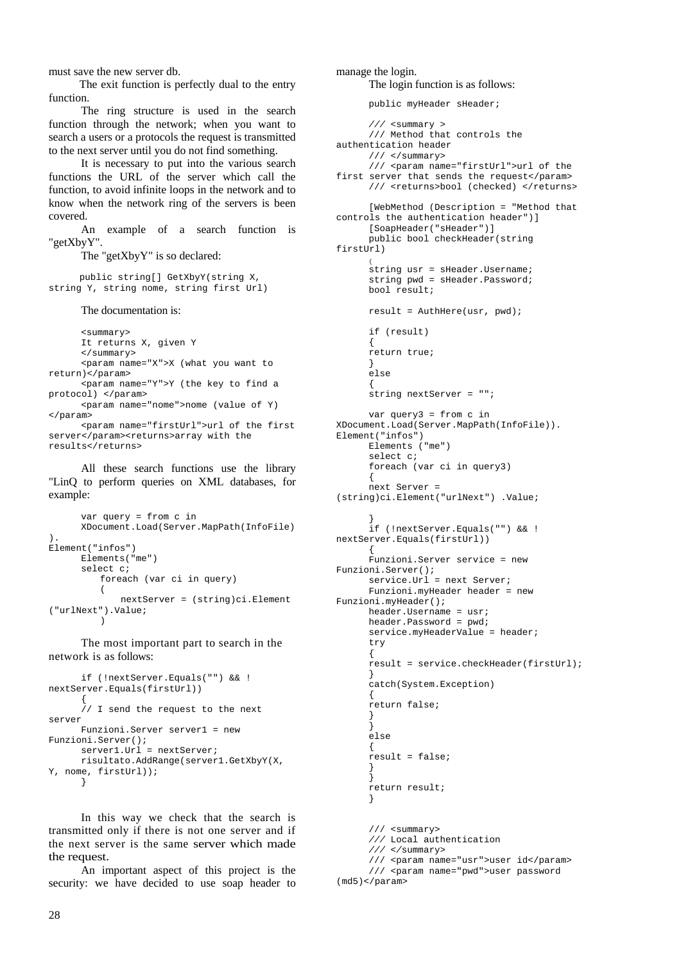must save the new server db.

The exit function is perfectly dual to the entry function.

The ring structure is used in the search function through the network; when you want to search a users or a protocols the request is transmitted to the next server until you do not find something.

It is necessary to put into the various search functions the URL of the server which call the function, to avoid infinite loops in the network and to know when the network ring of the servers is been covered.

An example of a search function is "getXbyY".

The "getXbyY" is so declared:

public string[] GetXbyY(string X, string Y, string nome, string first Url)

The documentation is:

<summary> It returns X, given Y </summary> <param name="X">X (what you want to return)</param> <param name="Y">Y (the key to find a protocol) </param> <param name="nome">nome (value of Y) </param> <param name="firstUrl">url of the first server</param><returns>array with the

results</returns>

All these search functions use the library "LinQ to perform queries on XML databases, for example:

```
var query = from c in 
      XDocument.Load(Server.MapPath(InfoFile)
). 
Element("infos") 
      Elements("me") 
      select c; 
          foreach (var ci in query) 
          \left(nextServer = (string)ci.Element
("urlNext").Value; 
          )
```
The most important part to search in the network is as follows:

```
if (!nextServer.Equals("") && ! 
nextServer.Equals(firstUrl)) 
      { 
      // I send the request to the next 
server 
     Funzioni.Server server1 = new 
Funzioni.Server(); 
      server1.Url = nextServer;
     risultato.AddRange(server1.GetXbyY(X, 
Y, nome, firstUrl)); 
      }
```
In this way we check that the search is transmitted only if there is not one server and if the next server is the same server which made the request.

An important aspect of this project is the security: we have decided to use soap header to

```
manage the login. 
      The login function is as follows: 
      public myHeader sHeader; 
      /// <summary > 
      /// Method that controls the 
authentication header 
     /// </summary> 
      /// <param name="firstUrl">url of the 
first server that sends the request</param>
      /// <returns>bool (checked) </returns>
      [WebMethod (Description = "Method that 
controls the authentication header")] 
     [SoapHeader("sHeader")] 
      public bool checkHeader(string 
firstUrl)
      {
string usr = sHeader.Username; 
      string pwd = sHeader.Password; 
      bool result; 
      result = AuthHere(usr, pwd); 
      if (result) 
      { 
      return true; 
      } 
      else 
      { 
      string nextServer = ""; 
      var query3 = from c inXDocument.Load(Server.MapPath(InfoFile)). 
Element("infos") 
     Elements ("me") 
      select c; 
      foreach (var ci in query3) 
      { 
      next Server = 
(string)ci.Element("urlNext") .Value; 
      } 
      if (!nextServer.Equals("") && ! 
nextServer.Equals(firstUrl)) 
      { 
      Funzioni.Server service = new 
Funzioni.Server(); 
      service.Url = next Server; 
      Funzioni.myHeader header = new 
Funzioni.myHeader(); 
      header.Username = usr; 
      header.Password = pwd; 
      service.myHeaderValue = header;
      try 
      { 
      result = service.checkHeader(firstUrl); 
      } 
      catch(System.Exception) 
      { 
      return false; 
      } 
      } 
      else 
      { 
      result = false; 
      } 
      } 
      return result; 
      } 
      /// <summary>
      /// Local authentication 
      /// </summary> 
      /// <param name="usr">user id</param> 
      /// <param name="pwd">user password 
(md5)<param
```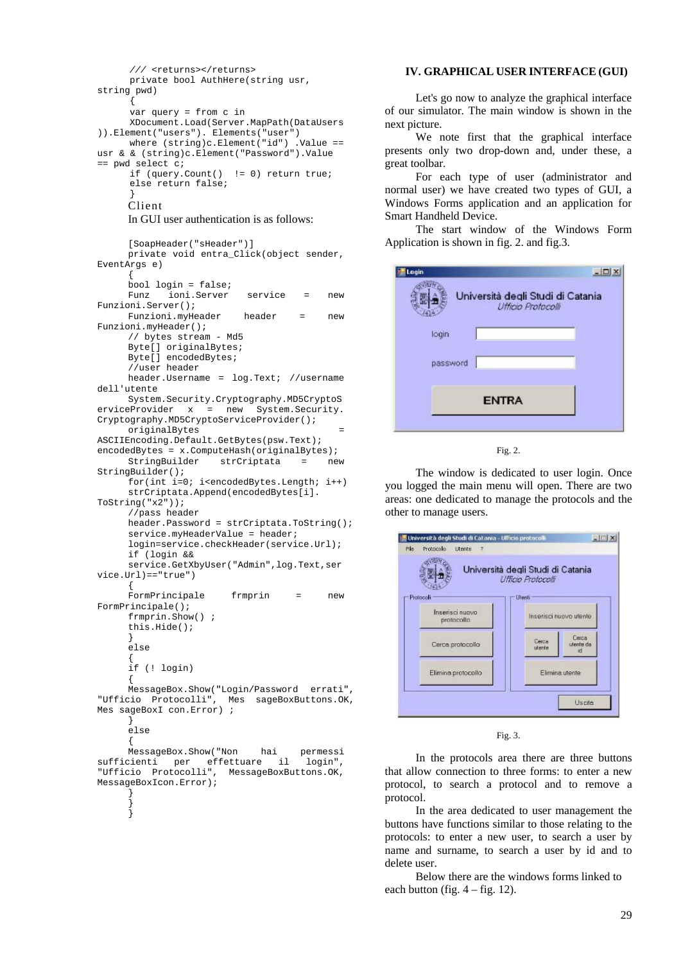```
/// <returns></returns>
     private bool AuthHere(string usr, 
string pwd) 
      { 
      var query = from c in 
      XDocument.Load(Server.MapPath(DataUsers
)).Element("users"). Elements("user") 
      where (string)c.Element("id") .Value ==
usr & & (string)c.Element("Password").Value 
== pwd select c; 
      if (query.Count() != 0) return true; 
      else return false; 
      } 
     Client 
     In GUI user authentication is as follows: 
     [SoapHeader("sHeader")]
     private void entra_Click(object sender, 
EventArgs e) 
      {
     bool login = false;
     Funz ioni.Server service = new 
Funzioni.Server();
     Funzioni.myHeader header = new 
Funzioni.myHeader();
     // bytes stream - Md5 
     Byte<sup>[]</sup> originalBytes;
     Byte[] encodedBytes;
     //user header
     header.Username = log.Text; //username 
dell'utente
     System.Security.Cryptography.MD5CryptoS
erviceProvider x = new System.Security. 
Cryptography.MD5CryptoServiceProvider();
     originalBytes = 
ASCIIEncoding.Default.GetBytes(psw.Text); 
encodedBytes = x.ComputeHash(originalBytes);<br>StringBuilder strCriptata = ne
     StringBuilder strCriptata = new 
StringBuilder();
     for(int i=0; i<encodedBytes.Length; i++) 
     strCriptata.Append(encodedBytes[i]. 
ToString("x2"));
     //pass header
     header.Password = strCriptata.ToString();
     service.myHeaderValue = header;
     login=service.checkHeader(service.Url);
     if (login &&
     service.GetXbyUser("Admin",log.Text,ser
vice.Url)=="true")
      {
     FormPrincipale frmprin = new 
FormPrincipale();
     frmprin.Show() ;
     this.Hide();
      }
     else
      {
      if (! login) 
      {
     MessageBox.Show("Login/Password errati", 
"Ufficio Protocolli", Mes sageBoxButtons.OK, 
Mes sageBoxI con.Error) ;
     }
     else
     {
     MessageBox.Show("Non hai permessi 
sufficienti per effettuare il login", 
"Ufficio Protocolli", MessageBoxButtons.OK, 
MessageBoxIcon.Error);
      } 
      } 
      }
```
### **IV. GRAPHICAL USER INTERFACE (GUI)**

Let's go now to analyze the graphical interface of our simulator. The main window is shown in the next picture.

We note first that the graphical interface presents only two drop-down and, under these, a great toolbar.

For each type of user (administrator and normal user) we have created two types of GUI, a Windows Forms application and an application for Smart Handheld Device.

The start window of the Windows Form Application is shown in fig. 2. and fig.3.

| Login        |                                                         |
|--------------|---------------------------------------------------------|
|              | Università degli Studi di Catania<br>Ufficio Protocolli |
| login        |                                                         |
|              |                                                         |
| password     |                                                         |
| <b>ENTRA</b> |                                                         |
|              |                                                         |

Fig. 2.

The window is dedicated to user login. Once you logged the main menu will open. There are two areas: one dedicated to manage the protocols and the other to manage users.

|                               | Università degli Studi di Catania<br>Ufficio Protocolli |
|-------------------------------|---------------------------------------------------------|
| Protocoli                     | <b>Utenti</b>                                           |
| Inserisci nuovo<br>protocollo | Inserisci nuovo utente                                  |
| Cerca protocollo              | Cerca<br>Cerca<br>utente da<br>utervie                  |
| Elimina protocollo            | Elimina utente                                          |

Fig. 3.

In the protocols area there are three buttons that allow connection to three forms: to enter a new protocol, to search a protocol and to remove a protocol.

In the area dedicated to user management the buttons have functions similar to those relating to the protocols: to enter a new user, to search a user by name and surname, to search a user by id and to delete user.

Below there are the windows forms linked to each button (fig.  $4 - fig. 12$ ).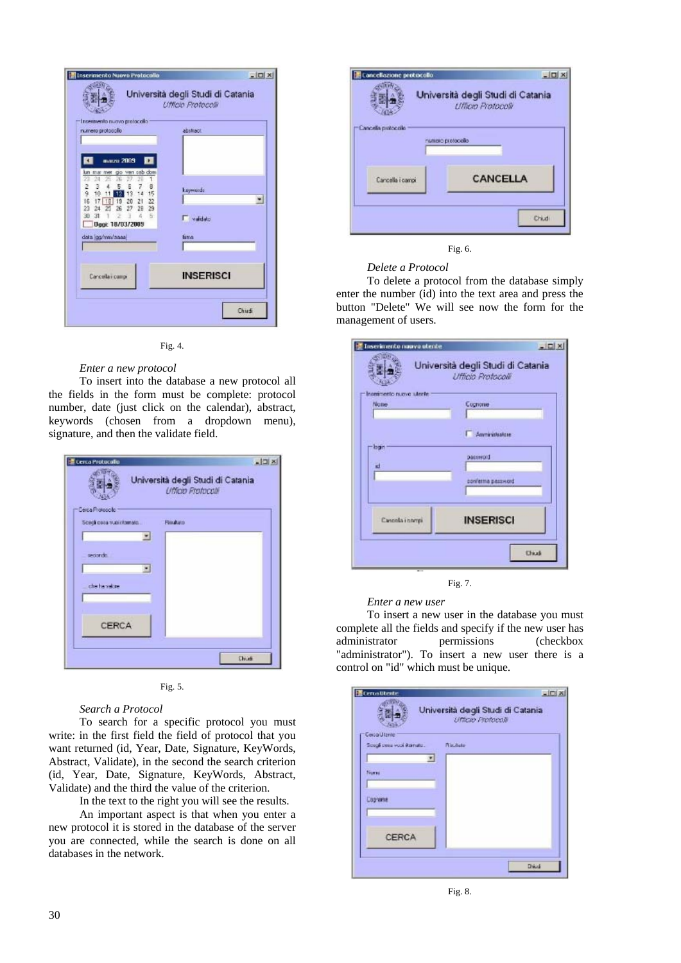| insermento nuovo protacallo<br>numero protocollo                                                                                                                                                                                                          | abstract                 |
|-----------------------------------------------------------------------------------------------------------------------------------------------------------------------------------------------------------------------------------------------------------|--------------------------|
| marzu 2009<br>n.<br>lun mar mer gio ven seb dom<br>Ż<br>24<br>28<br>Б<br>Б<br>я<br>2<br>э<br>7<br>ä<br>15<br>10<br>14<br>13<br>12<br>16<br>21 22<br>20<br>17<br>18<br>19<br>28 29<br>27<br>23<br>26<br>五<br>30<br>31<br>z.<br>G<br><b>Dag: 18/03/2005</b> | keywods<br>뇌<br>Validato |
| data jas/mm/aasa                                                                                                                                                                                                                                          | fime                     |
| Carcella i campi                                                                                                                                                                                                                                          | <b>INSERISCI</b>         |



### *Enter a new protocol*

To insert into the database a new protocol all the fields in the form must be complete: protocol number, date (just click on the calendar), abstract, keywords (chosen from a dropdown menu), signature, and then the validate field.

| Cerca Protocollo                             | $   \Box   \times  $                                   |
|----------------------------------------------|--------------------------------------------------------|
|                                              | Università degli Studi di Catania<br>Ufficio Frotocoli |
| Cerca Proteccilo<br>Sceoli cosa vuolistomato | Rim#ato<br>∙∣                                          |
| secondo.                                     | ۰.                                                     |
| chis his visitore                            |                                                        |
| CERCA                                        |                                                        |
|                                              | <b>Churk</b>                                           |



#### *Search a Protocol*

To search for a specific protocol you must write: in the first field the field of protocol that you want returned (id, Year, Date, Signature, KeyWords, Abstract, Validate), in the second the search criterion (id, Year, Date, Signature, KeyWords, Abstract, Validate) and the third the value of the criterion.

In the text to the right you will see the results.

An important aspect is that when you enter a new protocol it is stored in the database of the server you are connected, while the search is done on all databases in the network.

|                    | Università degli Studi di Catania<br>Ufficio Protocoli |
|--------------------|--------------------------------------------------------|
| Cancella protocolo | clience protocolo                                      |
| Cancella i campi   | CANCELLA                                               |



#### *Delete a Protocol*

To delete a protocol from the database simply enter the number (id) into the text area and press the button "Delete" We will see now the form for the management of users.

| Ufficio Protocolii |
|--------------------|
|                    |
| Cognome            |
| Amministratore     |
| Dasserord          |
| conferma password  |
| <b>INSERISCI</b>   |
|                    |



#### *Enter a new user*

To insert a new user in the database you must complete all the fields and specify if the new user has administrator permissions (checkbox "administrator"). To insert a new user there is a control on "id" which must be unique.

| <b>Extra</b> Utrate                  | $-101 \times$                                          |
|--------------------------------------|--------------------------------------------------------|
|                                      | Università degli Studi di Catania<br>Ufficio Profocoli |
| Cerca Utente                         |                                                        |
| Sough cone vool itomate.<br>Risulate |                                                        |
| ∙∣                                   |                                                        |
| Norse                                |                                                        |
|                                      |                                                        |
| <b>Eagneria</b>                      |                                                        |
|                                      |                                                        |
|                                      |                                                        |
| CERCA                                |                                                        |
|                                      |                                                        |
|                                      | <b>Chicat</b>                                          |
|                                      |                                                        |